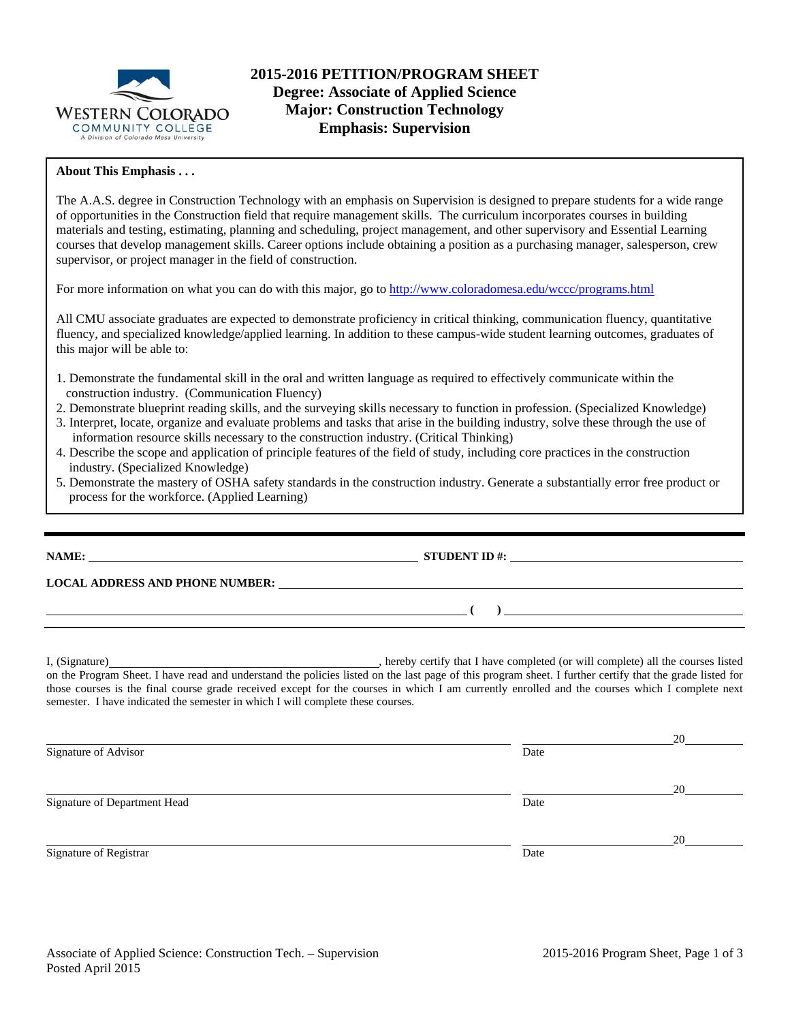

### **About This Emphasis . . .**

The A.A.S. degree in Construction Technology with an emphasis on Supervision is designed to prepare students for a wide range of opportunities in the Construction field that require management skills. The curriculum incorporates courses in building materials and testing, estimating, planning and scheduling, project management, and other supervisory and Essential Learning courses that develop management skills. Career options include obtaining a position as a purchasing manager, salesperson, crew supervisor, or project manager in the field of construction.

For more information on what you can do with this major, go to http://www.coloradomesa.edu/wccc/programs.html

All CMU associate graduates are expected to demonstrate proficiency in critical thinking, communication fluency, quantitative fluency, and specialized knowledge/applied learning. In addition to these campus-wide student learning outcomes, graduates of this major will be able to:

- 1. Demonstrate the fundamental skill in the oral and written language as required to effectively communicate within the construction industry. (Communication Fluency)
- 2. Demonstrate blueprint reading skills, and the surveying skills necessary to function in profession. (Specialized Knowledge)
- 3. Interpret, locate, organize and evaluate problems and tasks that arise in the building industry, solve these through the use of information resource skills necessary to the construction industry. (Critical Thinking)
- 4. Describe the scope and application of principle features of the field of study, including core practices in the construction industry. (Specialized Knowledge)
- 5. Demonstrate the mastery of OSHA safety standards in the construction industry. Generate a substantially error free product or process for the workforce. (Applied Learning)

**NAME: STUDENT ID #: STUDENT ID #:** 

**LOCAL ADDRESS AND PHONE NUMBER:**

I, (Signature) hereby certify that I have completed (or will complete) all the courses listed on the Program Sheet. I have read and understand the policies listed on the last page of this program sheet. I further certify that the grade listed for those courses is the final course grade received except for the courses in which I am currently enrolled and the courses which I complete next semester. I have indicated the semester in which I will complete these courses.

 **( )** 

<u>20</u> Signature of Advisor Date **Date** <u>20</u> Signature of Department Head Date of Department Head <u>20</u> Signature of Registrar Date Date of Registrar Date Date of Registrar Date Date of Registrar Date Date of Registrar Date of Registrar Date of Registrar Date of Registrar Date of Registrar Date of Registrar  $\sim$  Date of Regi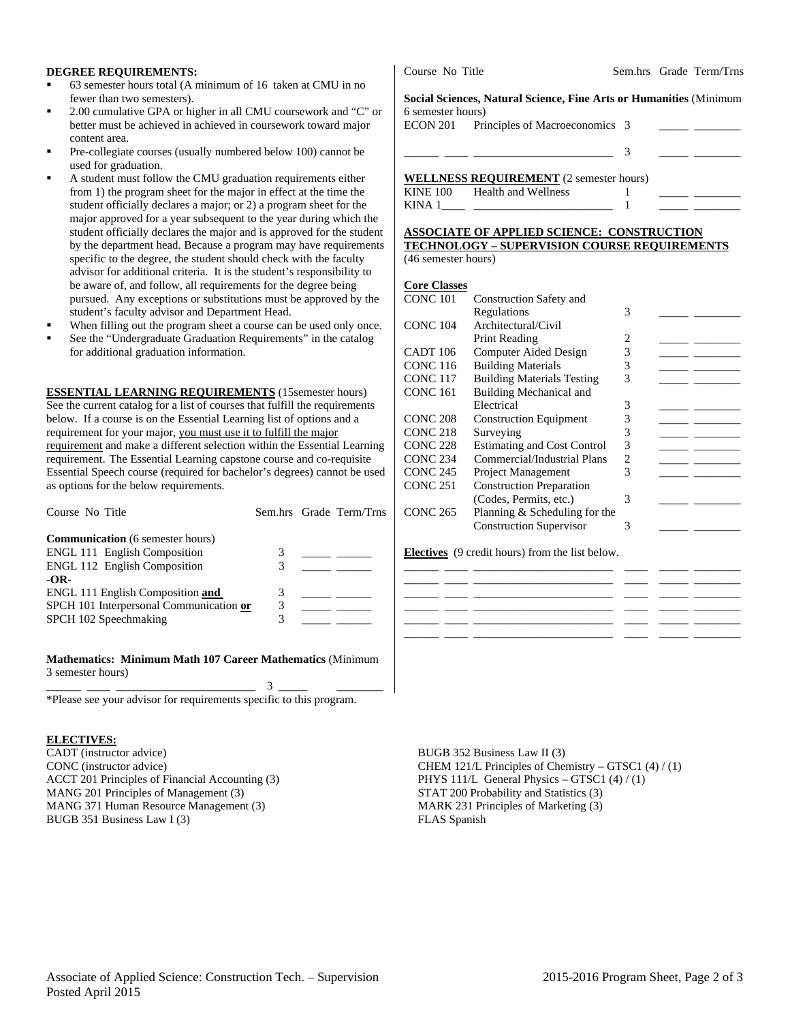### **DEGREE REQUIREMENTS:**

- 63 semester hours total (A minimum of 16 taken at CMU in no fewer than two semesters).
- 2.00 cumulative GPA or higher in all CMU coursework and "C" or better must be achieved in achieved in coursework toward major content area.
- Pre-collegiate courses (usually numbered below 100) cannot be used for graduation.
- A student must follow the CMU graduation requirements either from 1) the program sheet for the major in effect at the time the student officially declares a major; or 2) a program sheet for the major approved for a year subsequent to the year during which the student officially declares the major and is approved for the student by the department head. Because a program may have requirements specific to the degree, the student should check with the faculty advisor for additional criteria. It is the student's responsibility to be aware of, and follow, all requirements for the degree being pursued. Any exceptions or substitutions must be approved by the student's faculty advisor and Department Head.
- When filling out the program sheet a course can be used only once.
- See the "Undergraduate Graduation Requirements" in the catalog for additional graduation information.

**ESSENTIAL LEARNING REQUIREMENTS** (15semester hours) See the current catalog for a list of courses that fulfill the requirements below. If a course is on the Essential Learning list of options and a requirement for your major, you must use it to fulfill the major requirement and make a different selection within the Essential Learning requirement. The Essential Learning capstone course and co-requisite Essential Speech course (required for bachelor's degrees) cannot be used as options for the below requirements.

| Course No Title                         |  | Sem.hrs Grade Term/Trns |
|-----------------------------------------|--|-------------------------|
| <b>Communication</b> (6 semester hours) |  |                         |
| <b>ENGL 111 English Composition</b>     |  |                         |
| <b>ENGL 112 English Composition</b>     |  |                         |
| -OR-                                    |  |                         |
| ENGL 111 English Composition and        |  |                         |
| SPCH 101 Interpersonal Communication or |  |                         |
| SPCH 102 Speechmaking                   |  |                         |
|                                         |  |                         |

**Mathematics: Minimum Math 107 Career Mathematics** (Minimum 3 semester hours) \_\_\_\_\_\_ \_\_\_\_ \_\_\_\_\_\_\_\_\_\_\_\_\_\_\_\_\_\_\_\_\_\_\_\_ 3 \_\_\_\_\_ \_\_\_\_\_\_\_\_

\*Please see your advisor for requirements specific to this program.

#### **ELECTIVES:**

CADT (instructor advice) CONC (instructor advice) ACCT 201 Principles of Financial Accounting (3) MANG 201 Principles of Management (3) MANG 371 Human Resource Management (3) BUGB 351 Business Law I (3)

Course No Title Sem.hrs Grade Term/Trns

**Social Sciences, Natural Science, Fine Arts or Humanities** (Minimum 6 semester hours)

ECON 201 Principles of Macroeconomics 3

\_\_\_\_\_\_ \_\_\_\_ \_\_\_\_\_\_\_\_\_\_\_\_\_\_\_\_\_\_\_\_\_\_\_\_ 3 \_\_\_\_\_ \_\_\_\_\_\_\_\_

### **WELLNESS REQUIREMENT** (2 semester hours)

| <b>KINE 100</b> | Health and Wellness |  |  |
|-----------------|---------------------|--|--|
| KINA            |                     |  |  |

#### **ASSOCIATE OF APPLIED SCIENCE: CONSTRUCTION TECHNOLOGY – SUPERVISION COURSE REQUIREMENTS**  (46 semester hours)

#### **Core Classes**

| CONC <sub>101</sub> | <b>Construction Safety and</b>     |   |  |
|---------------------|------------------------------------|---|--|
|                     | Regulations                        | 3 |  |
| <b>CONC 104</b>     | Architectural/Civil                |   |  |
|                     | Print Reading                      | 2 |  |
| CADT 106            | Computer Aided Design              | 3 |  |
| <b>CONC 116</b>     | <b>Building Materials</b>          | 3 |  |
| CONC <sub>117</sub> | <b>Building Materials Testing</b>  | 3 |  |
| <b>CONC 161</b>     | Building Mechanical and            |   |  |
|                     | Electrical                         | 3 |  |
| <b>CONC 208</b>     | <b>Construction Equipment</b>      | 3 |  |
| <b>CONC 218</b>     | Surveying                          | 3 |  |
| <b>CONC 228</b>     | <b>Estimating and Cost Control</b> | 3 |  |
| CONC <sub>234</sub> | Commercial/Industrial Plans        | 2 |  |
| CONC <sub>245</sub> | <b>Project Management</b>          | 3 |  |
| CONC <sub>251</sub> | <b>Construction Preparation</b>    |   |  |
|                     | (Codes, Permits, etc.)             | 3 |  |
| <b>CONC 265</b>     | Planning & Scheduling for the      |   |  |
|                     | <b>Construction Supervisor</b>     | 3 |  |
|                     |                                    |   |  |

#### **Electives** (9 credit hours) from the list below.

BUGB 352 Business Law II (3) CHEM 121/L Principles of Chemistry – GTSC1 (4) / (1) PHYS 111/L General Physics – GTSC1 (4) / (1) STAT 200 Probability and Statistics (3) MARK 231 Principles of Marketing (3) FLAS Spanish